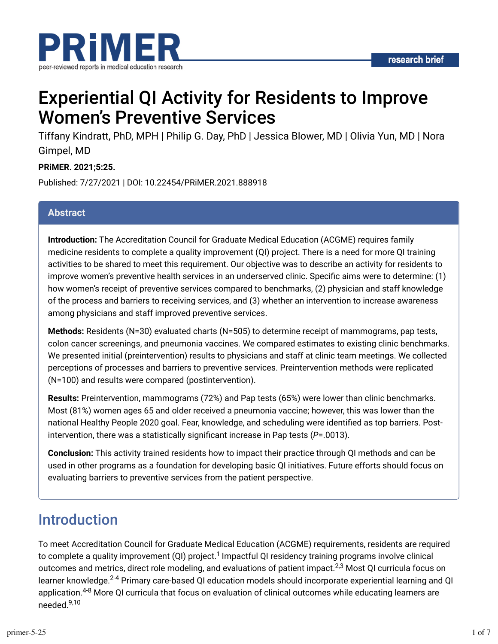

# Experiential QI Activity for Residents to Improve Women's Preventive Services

Tiffany Kindratt, PhD, MPH | Philip G. Day, PhD | Jessica Blower, MD | Olivia Yun, MD | Nora Gimpel, MD

#### **PRiMER. 2021;5:25.**

Published: 7/27/2021 | DOI: 10.22454/PRiMER.2021.888918

#### **Abstract**

**Introduction:** The Accreditation Council for Graduate Medical Education (ACGME) requires family medicine residents to complete a quality improvement (QI) project. There is a need for more QI training activities to be shared to meet this requirement. Our objective was to describe an activity for residents to improve women's preventive health services in an underserved clinic. Specific aims were to determine: (1) how women's receipt of preventive services compared to benchmarks, (2) physician and staff knowledge of the process and barriers to receiving services, and (3) whether an intervention to increase awareness among physicians and staff improved preventive services.

**Methods:** Residents (N=30) evaluated charts (N=505) to determine receipt of mammograms, pap tests, colon cancer screenings, and pneumonia vaccines. We compared estimates to existing clinic benchmarks. We presented initial (preintervention) results to physicians and staff at clinic team meetings. We collected perceptions of processes and barriers to preventive services. Preintervention methods were replicated (N=100) and results were compared (postintervention).

**Results:** Preintervention, mammograms (72%) and Pap tests (65%) were lower than clinic benchmarks. Most (81%) women ages 65 and older received a pneumonia vaccine; however, this was lower than the national Healthy People 2020 goal. Fear, knowledge, and scheduling were identified as top barriers. Postintervention, there was a statistically significant increase in Pap tests (*P*=.0013).

**Conclusion:** This activity trained residents how to impact their practice through QI methods and can be used in other programs as a foundation for developing basic QI initiatives. Future efforts should focus on evaluating barriers to preventive services from the patient perspective.

### Introduction

To meet Accreditation Council for Graduate Medical Education (ACGME) requirements, residents are required to complete a quality improvement (QI) project.<sup>1</sup> Impactful QI residency training programs involve clinical outcomes and metrics, direct role modeling, and evaluations of patient impact.<sup>2,3</sup> Most QI curricula focus on learner knowledge.<sup>2-4</sup> Primary care-based QI education models should incorporate experiential learning and QI application.<sup>4-8</sup> More QI curricula that focus on evaluation of clinical outcomes while educating learners are needed.<sup>9,10</sup>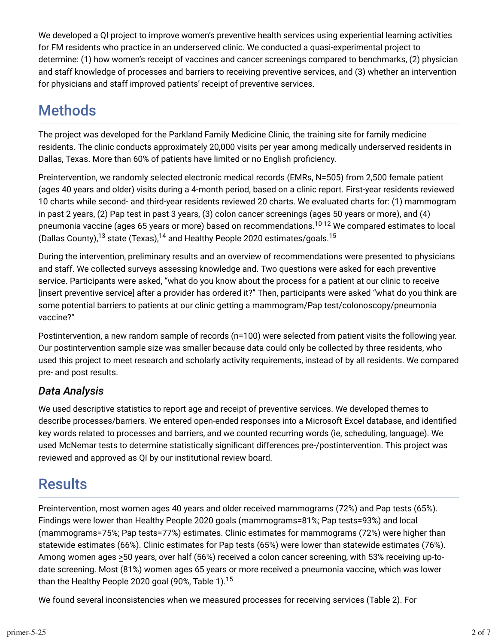We developed a QI project to improve women's preventive health services using experiential learning activities for FM residents who practice in an underserved clinic. We conducted a quasi-experimental project to determine: (1) how women's receipt of vaccines and cancer screenings compared to benchmarks, (2) physician and staff knowledge of processes and barriers to receiving preventive services, and (3) whether an intervention for physicians and staff improved patients' receipt of preventive services.

## Methods

The project was developed for the Parkland Family Medicine Clinic, the training site for family medicine residents. The clinic conducts approximately 20,000 visits per year among medically underserved residents in Dallas, Texas. More than 60% of patients have limited or no English proficiency.

Preintervention, we randomly selected electronic medical records (EMRs, N=505) from 2,500 female patient (ages 40 years and older) visits during a 4-month period, based on a clinic report. First-year residents reviewed 10 charts while second- and third-year residents reviewed 20 charts. We evaluated charts for: (1) mammogram in past 2 years, (2) Pap test in past 3 years, (3) colon cancer screenings (ages 50 years or more), and (4) pneumonia vaccine (ages 65 years or more) based on recommendations.<sup>10-12</sup> We compared estimates to local (Dallas County), $^{13}$  state (Texas), $^{14}$  and Healthy People 2020 estimates/goals. $^{15}$ 

During the intervention, preliminary results and an overview of recommendations were presented to physicians and staff. We collected surveys assessing knowledge and. Two questions were asked for each preventive service. Participants were asked, "what do you know about the process for a patient at our clinic to receive [insert preventive service] after a provider has ordered it?" Then, participants were asked "what do you think are some potential barriers to patients at our clinic getting a mammogram/Pap test/colonoscopy/pneumonia vaccine?"

Postintervention, a new random sample of records (n=100) were selected from patient visits the following year. Our postintervention sample size was smaller because data could only be collected by three residents, who used this project to meet research and scholarly activity requirements, instead of by all residents. We compared pre- and post results.

### *Data Analysis*

We used descriptive statistics to report age and receipt of preventive services. We developed themes to describe processes/barriers. We entered open-ended responses into a Microsoft Excel database, and identified key words related to processes and barriers, and we counted recurring words (ie, scheduling, language). We used McNemar tests to determine statistically significant differences pre-/postintervention. This project was reviewed and approved as QI by our institutional review board.

## Results

Preintervention, most women ages 40 years and older received mammograms (72%) and Pap tests (65%). Findings were lower than Healthy People 2020 goals (mammograms=81%; Pap tests=93%) and local (mammograms=75%; Pap tests=77%) estimates. Clinic estimates for mammograms (72%) were higher than statewide estimates (66%). Clinic estimates for Pap tests (65%) were lower than statewide estimates (76%). Among women ages >50 years, over half (56%) received a colon cancer screening, with 53% receiving up-todate screening. Most (81%) women ages 65 years or more received a pneumonia vaccine, which was lower than the Healthy People 2020 goal (90%, Table 1). 15

We found several inconsistencies when we measured processes for receiving services (Table 2). For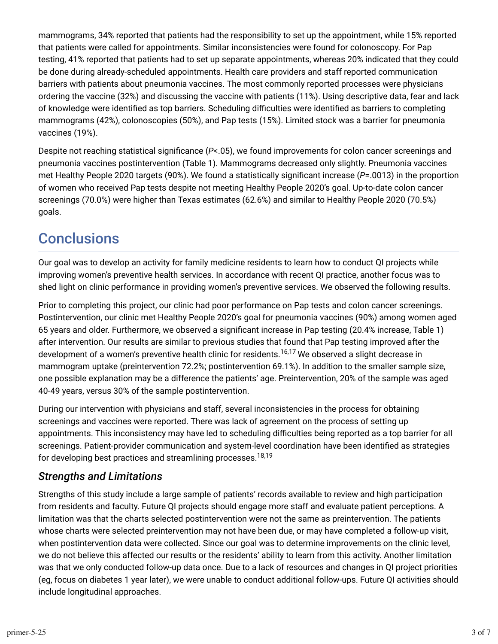mammograms, 34% reported that patients had the responsibility to set up the appointment, while 15% reported that patients were called for appointments. Similar inconsistencies were found for colonoscopy. For Pap testing, 41% reported that patients had to set up separate appointments, whereas 20% indicated that they could be done during already-scheduled appointments. Health care providers and staff reported communication barriers with patients about pneumonia vaccines. The most commonly reported processes were physicians ordering the vaccine (32%) and discussing the vaccine with patients (11%). Using descriptive data, fear and lack of knowledge were identified as top barriers. Scheduling difficulties were identified as barriers to completing mammograms (42%), colonoscopies (50%), and Pap tests (15%). Limited stock was a barrier for pneumonia vaccines (19%).

Despite not reaching statistical significance (*P*<.05), we found improvements for colon cancer screenings and pneumonia vaccines postintervention (Table 1). Mammograms decreased only slightly. Pneumonia vaccines met Healthy People 2020 targets (90%). We found a statistically significant increase (*P*=.0013) in the proportion of women who received Pap tests despite not meeting Healthy People 2020's goal. Up-to-date colon cancer screenings (70.0%) were higher than Texas estimates (62.6%) and similar to Healthy People 2020 (70.5%) goals.

### **Conclusions**

Our goal was to develop an activity for family medicine residents to learn how to conduct QI projects while improving women's preventive health services. In accordance with recent QI practice, another focus was to shed light on clinic performance in providing women's preventive services. We observed the following results.

Prior to completing this project, our clinic had poor performance on Pap tests and colon cancer screenings. Postintervention, our clinic met Healthy People 2020's goal for pneumonia vaccines (90%) among women aged 65 years and older. Furthermore, we observed a significant increase in Pap testing (20.4% increase, Table 1) after intervention. Our results are similar to previous studies that found that Pap testing improved after the development of a women's preventive health clinic for residents.<sup>16,17</sup> We observed a slight decrease in mammogram uptake (preintervention 72.2%; postintervention 69.1%). In addition to the smaller sample size, one possible explanation may be a difference the patients' age. Preintervention, 20% of the sample was aged 40-49 years, versus 30% of the sample postintervention.

During our intervention with physicians and staff, several inconsistencies in the process for obtaining screenings and vaccines were reported. There was lack of agreement on the process of setting up appointments. This inconsistency may have led to scheduling difficulties being reported as a top barrier for all screenings. Patient-provider communication and system-level coordination have been identified as strategies for developing best practices and streamlining processes. 18,19

#### *Strengths and Limitations*

Strengths of this study include a large sample of patients' records available to review and high participation from residents and faculty. Future QI projects should engage more staff and evaluate patient perceptions. A limitation was that the charts selected postintervention were not the same as preintervention. The patients whose charts were selected preintervention may not have been due, or may have completed a follow-up visit, when postintervention data were collected. Since our goal was to determine improvements on the clinic level, we do not believe this affected our results or the residents' ability to learn from this activity. Another limitation was that we only conducted follow-up data once. Due to a lack of resources and changes in QI project priorities (eg, focus on diabetes 1 year later), we were unable to conduct additional follow-ups. Future QI activities should include longitudinal approaches.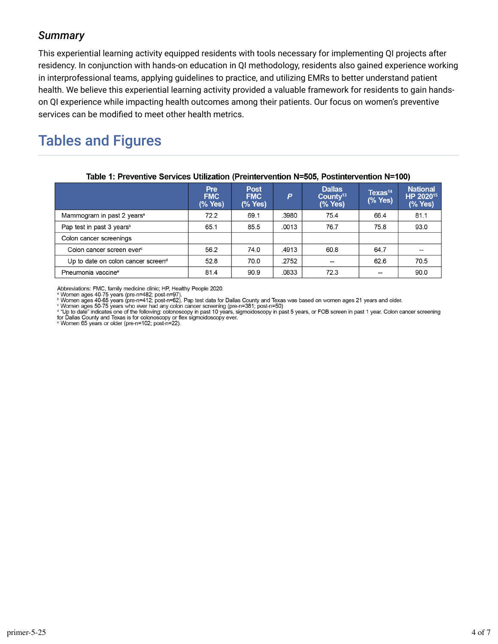#### *Summary*

This experiential learning activity equipped residents with tools necessary for implementing QI projects after residency. In conjunction with hands-on education in QI methodology, residents also gained experience working in interprofessional teams, applying guidelines to practice, and utilizing EMRs to better understand patient health. We believe this experiential learning activity provided a valuable framework for residents to gain handson QI experience while impacting health outcomes among their patients. Our focus on women's preventive services can be modified to meet other health metrics.

### Tables and Figures

|                                                | <b>Pre</b><br><b>FMC</b><br>$(\%$ Yes) | <b>Post</b><br><b>FMC</b><br>(% Yes) | P     | <b>Dallas</b><br>County <sup>13</sup><br>(% Yes) | $T$ exas <sup>14</sup><br>(% Yes) | <b>National</b><br>HP 2020 <sup>15</sup><br>(% Yes) |  |  |  |
|------------------------------------------------|----------------------------------------|--------------------------------------|-------|--------------------------------------------------|-----------------------------------|-----------------------------------------------------|--|--|--|
| Mammogram in past 2 years <sup>a</sup>         | 72.2                                   | 69.1                                 | .3980 | 75.4                                             | 66.4                              | 81.1                                                |  |  |  |
| Pap test in past 3 years <sup>b</sup>          | 65.1                                   | 85.5                                 | .0013 | 76.7                                             | 75.8                              | 93.0                                                |  |  |  |
| Colon cancer screenings                        |                                        |                                      |       |                                                  |                                   |                                                     |  |  |  |
| Colon cancer screen ever <sup>c</sup>          | 56.2                                   | 74.0                                 | .4913 | 60.8                                             | 64.7                              |                                                     |  |  |  |
| Up to date on colon cancer screen <sup>d</sup> | 52.8                                   | 70.0                                 | .2752 | $-$                                              | 62.6                              | 70.5                                                |  |  |  |
| Pneumonia vaccine <sup>e</sup>                 | 81.4                                   | 90.9                                 | .0833 | 72.3                                             | --                                | 90.0                                                |  |  |  |

#### Table 1: Preventive Services Utilization (Preintervention N=505, Postintervention N=100)

Abbreviations: FMC, family medicine clinic; HP, Healthy People 2020.<br>ª Women ages 40-75 years (pre-n=482; post-n=97).<br><sup>ь</sup> Women ages 40-65 years (pre-n=412; post-n=62). Pap test data for Dallas County and Texas was based o

Women ages 50-75 years who ever had any colon cancer screening (pre-n=381; post-n=50)<br>
d "Up to date" indicates one of the following: colonoscopy in past 10 years, sigmoidoscopy in past 5 years, or FOB screen in past 1 yea

e Women 65 years or older (pre-n=102; post-n=22).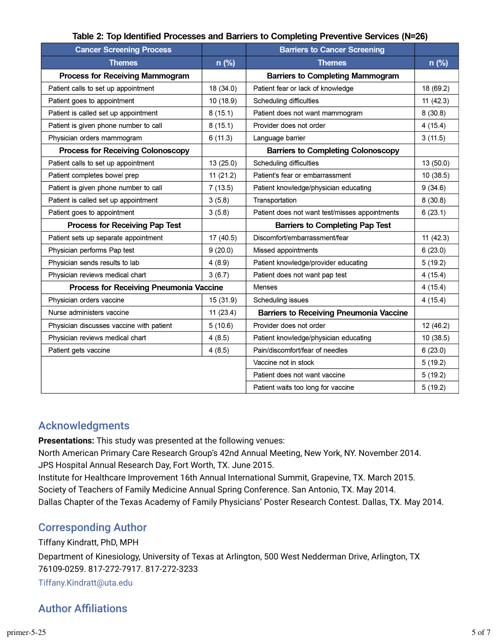|  |  | Table 2: Top Identified Processes and Barriers to Completing Preventive Services (N=26) |
|--|--|-----------------------------------------------------------------------------------------|
|--|--|-----------------------------------------------------------------------------------------|

| <b>Cancer Screening Process</b>          |           | <b>Barriers to Cancer Screening</b>            |           |
|------------------------------------------|-----------|------------------------------------------------|-----------|
| <b>Themes</b>                            | $n$ (%)   | <b>Themes</b>                                  | n (%)     |
| <b>Process for Receiving Mammogram</b>   |           | <b>Barriers to Completing Mammogram</b>        |           |
| Patient calls to set up appointment      | 18 (34.0) | Patient fear or lack of knowledge              | 18 (69.2) |
| Patient goes to appointment              | 10 (18.9) | Scheduling difficulties                        | 11(42.3)  |
| Patient is called set up appointment     | 8(15.1)   | Patient does not want mammogram                | 8(30.8)   |
| Patient is given phone number to call    | 8(15.1)   | Provider does not order                        | 4(15.4)   |
| Physician orders mammogram               | 6(11.3)   | Language barrier                               | 3(11.5)   |
| <b>Process for Receiving Colonoscopy</b> |           | <b>Barriers to Completing Colonoscopy</b>      |           |
| Patient calls to set up appointment      | 13 (25.0) | Scheduling difficulties                        | 13 (50.0) |
| Patient completes bowel prep             | 11(21.2)  | Patient's fear or embarrassment                | 10 (38.5) |
| Patient is given phone number to call    | 7(13.5)   | Patient knowledge/physician educating          | 9(34.6)   |
| Patient is called set up appointment     | 3(5.8)    | Transportation                                 | 8(30.8)   |
| Patient goes to appointment              | 3(5.8)    | Patient does not want test/misses appointments | 6(23.1)   |
| Process for Receiving Pap Test           |           | <b>Barriers to Completing Pap Test</b>         |           |
| Patient sets up separate appointment     | 17 (40.5) | Discomfort/embarrassment/fear                  | 11(42.3)  |
| Physician performs Pap test              | 9(20.0)   | Missed appointments                            | 6(23.0)   |
| Physician sends results to lab           | 4(8.9)    | Patient knowledge/provider educating           | 5(19.2)   |
| Physician reviews medical chart          | 3(6.7)    | Patient does not want pap test                 | 4(15.4)   |
| Process for Receiving Pneumonia Vaccine  |           | Menses                                         | 4(15.4)   |
| Physician orders vaccine                 | 15 (31.9) | Scheduling issues                              | 4(15.4)   |
| Nurse administers vaccine                | 11(23.4)  | <b>Barriers to Receiving Pneumonia Vaccine</b> |           |
| Physician discusses vaccine with patient | 5(10.6)   | Provider does not order                        | 12 (46.2) |
| Physician reviews medical chart          | 4(8.5)    | Patient knowledge/physician educating          | 10 (38.5) |
| Patient gets vaccine                     | 4(8.5)    | Pain/discomfort/fear of needles                | 6(23.0)   |
|                                          |           | Vaccine not in stock                           | 5(19.2)   |
|                                          |           | Patient does not want vaccine                  | 5(19.2)   |
|                                          |           | Patient waits too long for vaccine             | 5(19.2)   |

#### Acknowledgments

**Presentations:** This study was presented at the following venues:

North American Primary Care Research Group's 42nd Annual Meeting, New York, NY. November 2014. JPS Hospital Annual Research Day, Fort Worth, TX. June 2015.

Institute for Healthcare Improvement 16th Annual International Summit, Grapevine, TX. March 2015. Society of Teachers of Family Medicine Annual Spring Conference. San Antonio, TX. May 2014. Dallas Chapter of the Texas Academy of Family Physicians' Poster Research Contest. Dallas, TX. May 2014.

#### Corresponding Author

Tiffany Kindratt, PhD, MPH

Department of Kinesiology, University of Texas at Arlington, 500 West Nedderman Drive, Arlington, TX 76109-0259. 817-272-7917. 817-272-3233

[Tiffany.Kindratt@uta.edu](mailto:Tiffany.Kindratt@uta.edu)

### **Author Affiliations**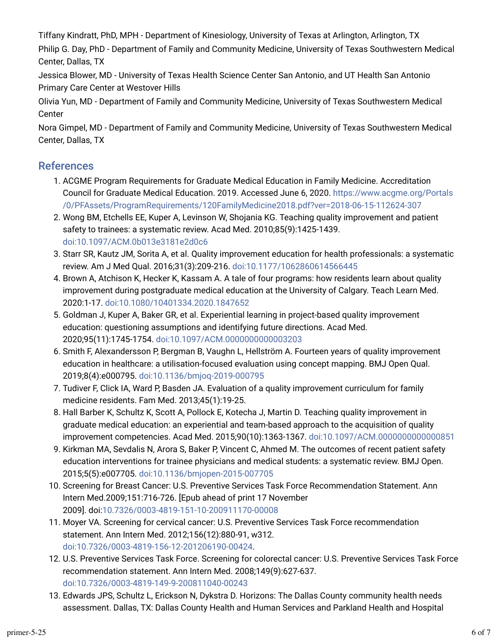Tiffany Kindratt, PhD, MPH - Department of Kinesiology, University of Texas at Arlington, Arlington, TX

Philip G. Day, PhD - Department of Family and Community Medicine, University of Texas Southwestern Medical Center, Dallas, TX

Jessica Blower, MD - University of Texas Health Science Center San Antonio, and UT Health San Antonio Primary Care Center at Westover Hills

Olivia Yun, MD - Department of Family and Community Medicine, University of Texas Southwestern Medical Center

Nora Gimpel, MD - Department of Family and Community Medicine, University of Texas Southwestern Medical Center, Dallas, TX

#### References

- 1. ACGME Program Requirements for Graduate Medical Education in Family Medicine. Accreditation Council for Graduate Medical Education. 2019. Accessed June 6, 2020. [https://www.acgme.org/Portals](https://www.acgme.org/Portals/0/PFAssets/ProgramRequirements/120FamilyMedicine2018.pdf?ver=2018-06-15-112624-307) [/0/PFAssets/ProgramRequirements/120FamilyMedicine2018.pdf?ver=2018-06-15-112624-307](https://www.acgme.org/Portals/0/PFAssets/ProgramRequirements/120FamilyMedicine2018.pdf?ver=2018-06-15-112624-307)
- 2. Wong BM, Etchells EE, Kuper A, Levinson W, Shojania KG. Teaching quality improvement and patient safety to trainees: a systematic review. Acad Med. 2010;85(9):1425-1439. [doi:10.1097/ACM.0b013e3181e2d0c6](https://doi.org/10.1097/ACM.0b013e3181e2d0c6)
- 3. Starr SR, Kautz JM, Sorita A, et al. Quality improvement education for health professionals: a systematic review. Am J Med Qual. 2016;31(3):209-216. [doi:10.1177/1062860614566445](https://doi.org/10.1177/1062860614566445)
- 4. Brown A, Atchison K, Hecker K, Kassam A. A tale of four programs: how residents learn about quality improvement during postgraduate medical education at the University of Calgary. Teach Learn Med. 2020:1-17. [doi:10.1080/10401334.2020.1847652](https://doi.org/10.1080/10401334.2020.1847652)
- 5. Goldman J, Kuper A, Baker GR, et al. Experiential learning in project-based quality improvement education: questioning assumptions and identifying future directions. Acad Med. 2020;95(11):1745-1754. [doi:10.1097/ACM.0000000000003203](https://doi.org/10.1097/ACM.0000000000003203)
- t. Smith F, Alexandersson P, Bergman B, Vaughn L, Hellström A. Fourteen years of quality improvement education in healthcare: a utilisation-focused evaluation using concept mapping. BMJ Open Qual. 2019;8(4):e000795. [doi:10.1136/bmjoq-2019-000795](https://doi.org/10.1136/bmjoq-2019-000795)
- 7. Tudiver F, Click IA, Ward P, Basden JA. Evaluation of a quality improvement curriculum for family medicine residents. Fam Med. 2013;45(1):19-25.
- 8. Hall Barber K, Schultz K, Scott A, Pollock E, Kotecha J, Martin D. Teaching quality improvement in graduate medical education: an experiential and team-based approach to the acquisition of quality improvement competencies. Acad Med. 2015;90(10):1363-1367. [doi:10.1097/ACM.0000000000000851](https://doi.org/10.1097/ACM.0000000000000851)
- 9. Kirkman MA, Sevdalis N, Arora S, Baker P, Vincent C, Ahmed M. The outcomes of recent patient safety education interventions for trainee physicians and medical students: a systematic review. BMJ Open. 2015;5(5):e007705. [doi:10.1136/bmjopen-2015-007705](https://doi.org/10.1136/bmjopen-2015-007705)
- 10. Screening for Breast Cancer: U.S. Preventive Services Task Force Recommendation Statement. Ann Intern Med.2009;151:716-726. [Epub ahead of print 17 November 2009]. doi[:10.7326/0003-4819-151-10-200911170-00008](https://doi.org/10.7326/0003-4819-151-10-200911170-00008)
- 11. Moyer VA. Screening for cervical cancer: U.S. Preventive Services Task Force recommendation statement. Ann Intern Med. 2012;156(12):880-91, w312. [doi:10.7326/0003-4819-156-12-201206190-00424.](https://doi.org/10.7326/0003-4819-156-12-201206190-00424)
- 12. U.S. Preventive Services Task Force. Screening for colorectal cancer: U.S. Preventive Services Task Force recommendation statement. Ann Intern Med. 2008;149(9):627-637. [doi:10.7326/0003-4819-149-9-200811040-00243](https://doi.org/10.7326/0003-4819-149-9-200811040-00243)
- 13. Edwards JPS, Schultz L, Erickson N, Dykstra D. Horizons: The Dallas County community health needs assessment. Dallas, TX: Dallas County Health and Human Services and Parkland Health and Hospital